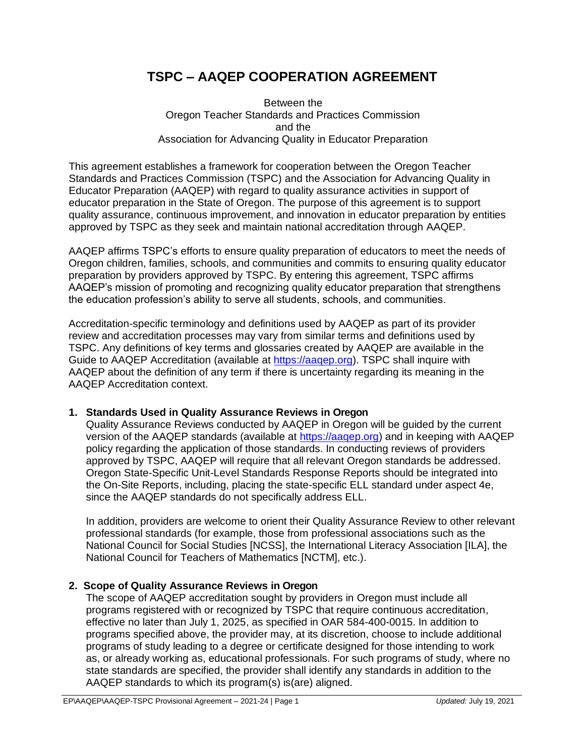# **TSPC – AAQEP COOPERATION AGREEMENT**

#### Between the Oregon Teacher Standards and Practices Commission and the Association for Advancing Quality in Educator Preparation

This agreement establishes a framework for cooperation between the Oregon Teacher Standards and Practices Commission (TSPC) and the Association for Advancing Quality in Educator Preparation (AAQEP) with regard to quality assurance activities in support of educator preparation in the State of Oregon. The purpose of this agreement is to support quality assurance, continuous improvement, and innovation in educator preparation by entities approved by TSPC as they seek and maintain national accreditation through AAQEP.

AAQEP affirms TSPC's efforts to ensure quality preparation of educators to meet the needs of Oregon children, families, schools, and communities and commits to ensuring quality educator preparation by providers approved by TSPC. By entering this agreement, TSPC affirms AAQEP's mission of promoting and recognizing quality educator preparation that strengthens the education profession's ability to serve all students, schools, and communities.

Accreditation-specific terminology and definitions used by AAQEP as part of its provider review and accreditation processes may vary from similar terms and definitions used by TSPC. Any definitions of key terms and glossaries created by AAQEP are available in the Guide to AAQEP Accreditation (available at [https://aaqep.org\)](https://aaqep.org/). TSPC shall inquire with AAQEP about the definition of any term if there is uncertainty regarding its meaning in the AAQEP Accreditation context.

### **1. Standards Used in Quality Assurance Reviews in Oregon**

Quality Assurance Reviews conducted by AAQEP in Oregon will be guided by the current version of the AAQEP standards (available at [https://aaqep.org\)](https://aaqep.org/) and in keeping with AAQEP policy regarding the application of those standards. In conducting reviews of providers approved by TSPC, AAQEP will require that all relevant Oregon standards be addressed. Oregon State-Specific Unit-Level Standards Response Reports should be integrated into the On-Site Reports, including, placing the state-specific ELL standard under aspect 4e, since the AAQEP standards do not specifically address ELL.

In addition, providers are welcome to orient their Quality Assurance Review to other relevant professional standards (for example, those from professional associations such as the National Council for Social Studies [NCSS], the International Literacy Association [ILA], the National Council for Teachers of Mathematics [NCTM], etc.).

### **2. Scope of Quality Assurance Reviews in Oregon**

The scope of AAQEP accreditation sought by providers in Oregon must include all programs registered with or recognized by TSPC that require continuous accreditation, effective no later than July 1, 2025, as specified in OAR 584-400-0015. In addition to programs specified above, the provider may, at its discretion, choose to include additional programs of study leading to a degree or certificate designed for those intending to work as, or already working as, educational professionals. For such programs of study, where no state standards are specified, the provider shall identify any standards in addition to the AAQEP standards to which its program(s) is(are) aligned.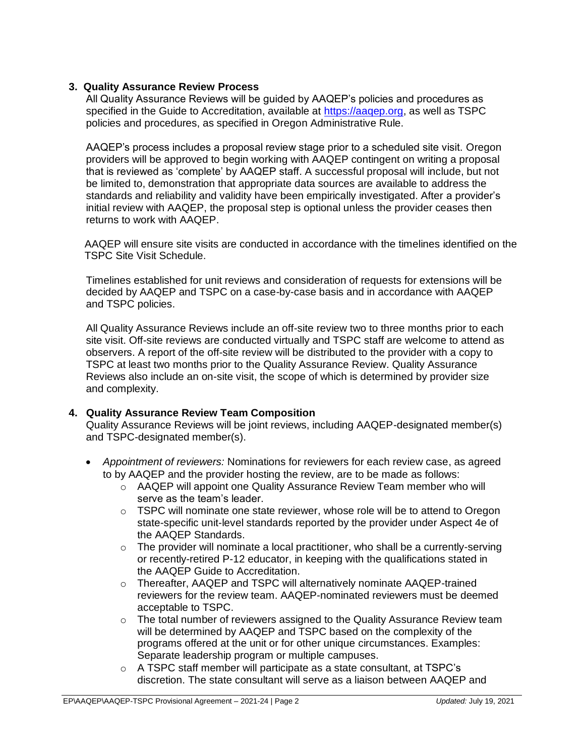## **3. Quality Assurance Review Process**

All Quality Assurance Reviews will be guided by AAQEP's policies and procedures as specified in the Guide to Accreditation, available at https://aagep.org, as well as TSPC policies and procedures, as specified in Oregon Administrative Rule.

AAQEP's process includes a proposal review stage prior to a scheduled site visit. Oregon providers will be approved to begin working with AAQEP contingent on writing a proposal that is reviewed as 'complete' by AAQEP staff. A successful proposal will include, but not be limited to, demonstration that appropriate data sources are available to address the standards and reliability and validity have been empirically investigated. After a provider's initial review with AAQEP, the proposal step is optional unless the provider ceases then returns to work with AAQEP.

AAQEP will ensure site visits are conducted in accordance with the timelines identified on the TSPC Site Visit Schedule.

Timelines established for unit reviews and consideration of requests for extensions will be decided by AAQEP and TSPC on a case-by-case basis and in accordance with AAQEP and TSPC policies.

All Quality Assurance Reviews include an off-site review two to three months prior to each site visit. Off-site reviews are conducted virtually and TSPC staff are welcome to attend as observers. A report of the off-site review will be distributed to the provider with a copy to TSPC at least two months prior to the Quality Assurance Review. Quality Assurance Reviews also include an on-site visit, the scope of which is determined by provider size and complexity.

### **4. Quality Assurance Review Team Composition**

Quality Assurance Reviews will be joint reviews, including AAQEP-designated member(s) and TSPC-designated member(s).

- *Appointment of reviewers:* Nominations for reviewers for each review case, as agreed to by AAQEP and the provider hosting the review, are to be made as follows:
	- o AAQEP will appoint one Quality Assurance Review Team member who will serve as the team's leader.
	- $\circ$  TSPC will nominate one state reviewer, whose role will be to attend to Oregon state-specific unit-level standards reported by the provider under Aspect 4e of the AAQEP Standards.
	- $\circ$  The provider will nominate a local practitioner, who shall be a currently-serving or recently-retired P-12 educator, in keeping with the qualifications stated in the AAQEP Guide to Accreditation.
	- o Thereafter, AAQEP and TSPC will alternatively nominate AAQEP-trained reviewers for the review team. AAQEP-nominated reviewers must be deemed acceptable to TSPC.
	- $\circ$  The total number of reviewers assigned to the Quality Assurance Review team will be determined by AAQEP and TSPC based on the complexity of the programs offered at the unit or for other unique circumstances. Examples: Separate leadership program or multiple campuses.
	- o A TSPC staff member will participate as a state consultant, at TSPC's discretion. The state consultant will serve as a liaison between AAQEP and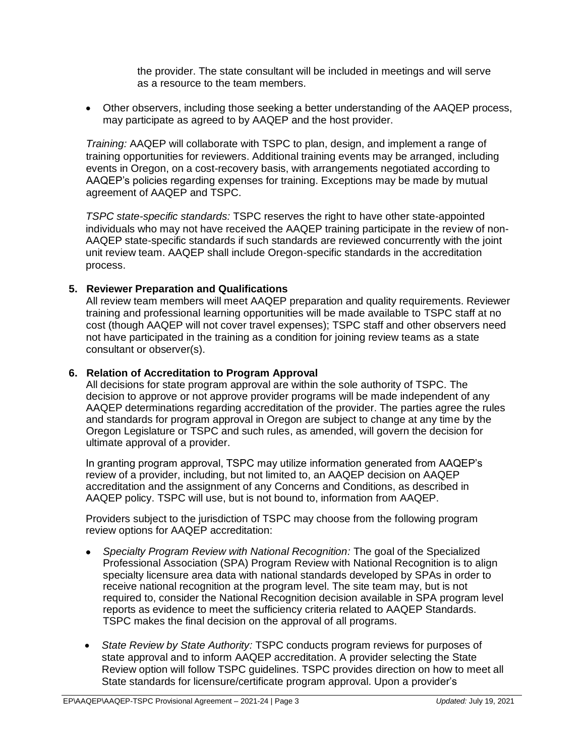the provider. The state consultant will be included in meetings and will serve as a resource to the team members.

 Other observers, including those seeking a better understanding of the AAQEP process, may participate as agreed to by AAQEP and the host provider.

*Training:* AAQEP will collaborate with TSPC to plan, design, and implement a range of training opportunities for reviewers. Additional training events may be arranged, including events in Oregon, on a cost-recovery basis, with arrangements negotiated according to AAQEP's policies regarding expenses for training. Exceptions may be made by mutual agreement of AAQEP and TSPC.

*TSPC state-specific standards:* TSPC reserves the right to have other state-appointed individuals who may not have received the AAQEP training participate in the review of non-AAQEP state-specific standards if such standards are reviewed concurrently with the joint unit review team. AAQEP shall include Oregon-specific standards in the accreditation process.

### **5. Reviewer Preparation and Qualifications**

All review team members will meet AAQEP preparation and quality requirements. Reviewer training and professional learning opportunities will be made available to TSPC staff at no cost (though AAQEP will not cover travel expenses); TSPC staff and other observers need not have participated in the training as a condition for joining review teams as a state consultant or observer(s).

#### **6. Relation of Accreditation to Program Approval**

All decisions for state program approval are within the sole authority of TSPC. The decision to approve or not approve provider programs will be made independent of any AAQEP determinations regarding accreditation of the provider. The parties agree the rules and standards for program approval in Oregon are subject to change at any time by the Oregon Legislature or TSPC and such rules, as amended, will govern the decision for ultimate approval of a provider.

In granting program approval, TSPC may utilize information generated from AAQEP's review of a provider, including, but not limited to, an AAQEP decision on AAQEP accreditation and the assignment of any Concerns and Conditions, as described in AAQEP policy. TSPC will use, but is not bound to, information from AAQEP.

Providers subject to the jurisdiction of TSPC may choose from the following program review options for AAQEP accreditation:

- *Specialty Program Review with National Recognition:* The goal of the Specialized Professional Association (SPA) Program Review with National Recognition is to align specialty licensure area data with national standards developed by SPAs in order to receive national recognition at the program level. The site team may, but is not required to, consider the National Recognition decision available in SPA program level reports as evidence to meet the sufficiency criteria related to AAQEP Standards. TSPC makes the final decision on the approval of all programs.
- *State Review by State Authority:* TSPC conducts program reviews for purposes of state approval and to inform AAQEP accreditation. A provider selecting the State Review option will follow TSPC guidelines. TSPC provides direction on how to meet all State standards for licensure/certificate program approval. Upon a provider's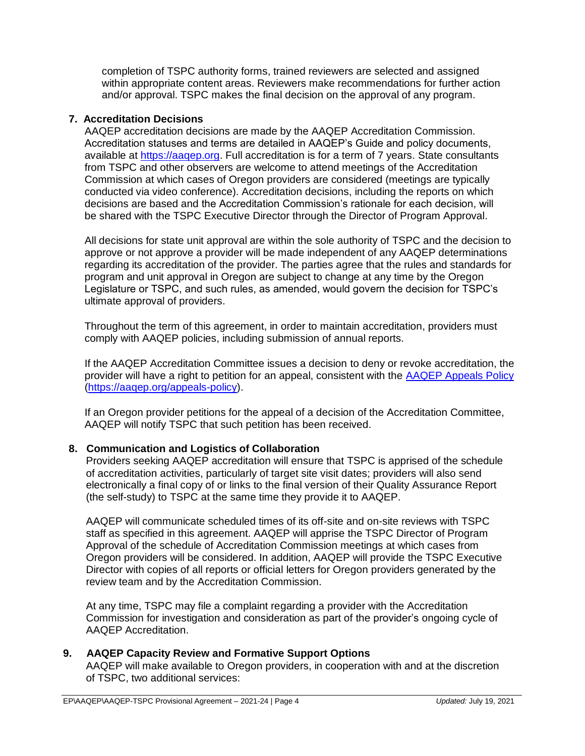completion of TSPC authority forms, trained reviewers are selected and assigned within appropriate content areas. Reviewers make recommendations for further action and/or approval. TSPC makes the final decision on the approval of any program.

## **7. Accreditation Decisions**

AAQEP accreditation decisions are made by the AAQEP Accreditation Commission. Accreditation statuses and terms are detailed in AAQEP's Guide and policy documents, available at [https://aaqep.org.](https://aaqep.org/) Full accreditation is for a term of 7 years. State consultants from TSPC and other observers are welcome to attend meetings of the Accreditation Commission at which cases of Oregon providers are considered (meetings are typically conducted via video conference). Accreditation decisions, including the reports on which decisions are based and the Accreditation Commission's rationale for each decision, will be shared with the TSPC Executive Director through the Director of Program Approval.

All decisions for state unit approval are within the sole authority of TSPC and the decision to approve or not approve a provider will be made independent of any AAQEP determinations regarding its accreditation of the provider. The parties agree that the rules and standards for program and unit approval in Oregon are subject to change at any time by the Oregon Legislature or TSPC, and such rules, as amended, would govern the decision for TSPC's ultimate approval of providers.

Throughout the term of this agreement, in order to maintain accreditation, providers must comply with AAQEP policies, including submission of annual reports.

If the AAQEP Accreditation Committee issues a decision to deny or revoke accreditation, the provider will have a right to petition for an appeal, consistent with the [AAQEP Appeals Policy](https://aaqep.org/appeals-policy) [\(https://aaqep.org/appeals-policy\)](https://aaqep.org/appeals-policy).

If an Oregon provider petitions for the appeal of a decision of the Accreditation Committee, AAQEP will notify TSPC that such petition has been received.

### **8. Communication and Logistics of Collaboration**

Providers seeking AAQEP accreditation will ensure that TSPC is apprised of the schedule of accreditation activities, particularly of target site visit dates; providers will also send electronically a final copy of or links to the final version of their Quality Assurance Report (the self-study) to TSPC at the same time they provide it to AAQEP.

AAQEP will communicate scheduled times of its off-site and on-site reviews with TSPC staff as specified in this agreement. AAQEP will apprise the TSPC Director of Program Approval of the schedule of Accreditation Commission meetings at which cases from Oregon providers will be considered. In addition, AAQEP will provide the TSPC Executive Director with copies of all reports or official letters for Oregon providers generated by the review team and by the Accreditation Commission.

At any time, TSPC may file a complaint regarding a provider with the Accreditation Commission for investigation and consideration as part of the provider's ongoing cycle of AAQEP Accreditation.

### **9. AAQEP Capacity Review and Formative Support Options**

AAQEP will make available to Oregon providers, in cooperation with and at the discretion of TSPC, two additional services: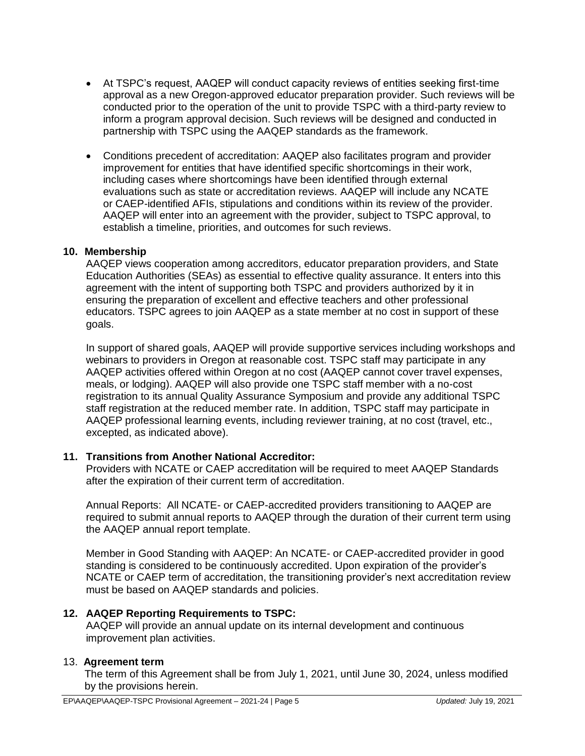- At TSPC's request, AAQEP will conduct capacity reviews of entities seeking first-time approval as a new Oregon-approved educator preparation provider. Such reviews will be conducted prior to the operation of the unit to provide TSPC with a third-party review to inform a program approval decision. Such reviews will be designed and conducted in partnership with TSPC using the AAQEP standards as the framework.
- Conditions precedent of accreditation: AAQEP also facilitates program and provider improvement for entities that have identified specific shortcomings in their work, including cases where shortcomings have been identified through external evaluations such as state or accreditation reviews. AAQEP will include any NCATE or CAEP-identified AFIs, stipulations and conditions within its review of the provider. AAQEP will enter into an agreement with the provider, subject to TSPC approval, to establish a timeline, priorities, and outcomes for such reviews.

### **10. Membership**

AAQEP views cooperation among accreditors, educator preparation providers, and State Education Authorities (SEAs) as essential to effective quality assurance. It enters into this agreement with the intent of supporting both TSPC and providers authorized by it in ensuring the preparation of excellent and effective teachers and other professional educators. TSPC agrees to join AAQEP as a state member at no cost in support of these goals.

In support of shared goals, AAQEP will provide supportive services including workshops and webinars to providers in Oregon at reasonable cost. TSPC staff may participate in any AAQEP activities offered within Oregon at no cost (AAQEP cannot cover travel expenses, meals, or lodging). AAQEP will also provide one TSPC staff member with a no-cost registration to its annual Quality Assurance Symposium and provide any additional TSPC staff registration at the reduced member rate. In addition, TSPC staff may participate in AAQEP professional learning events, including reviewer training, at no cost (travel, etc., excepted, as indicated above).

### **11. Transitions from Another National Accreditor:**

Providers with NCATE or CAEP accreditation will be required to meet AAQEP Standards after the expiration of their current term of accreditation.

Annual Reports: All NCATE- or CAEP-accredited providers transitioning to AAQEP are required to submit annual reports to AAQEP through the duration of their current term using the AAQEP annual report template.

Member in Good Standing with AAQEP: An NCATE- or CAEP-accredited provider in good standing is considered to be continuously accredited. Upon expiration of the provider's NCATE or CAEP term of accreditation, the transitioning provider's next accreditation review must be based on AAQEP standards and policies.

## **12. AAQEP Reporting Requirements to TSPC:**

AAQEP will provide an annual update on its internal development and continuous improvement plan activities.

### 13. **Agreement term**

The term of this Agreement shall be from July 1, 2021, until June 30, 2024, unless modified by the provisions herein.